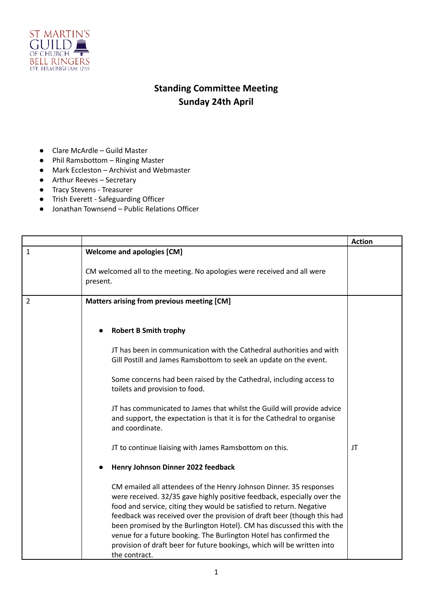

## **Standing Committee Meeting Sunday 24th April**

- Clare McArdle Guild Master
- Phil Ramsbottom Ringing Master
- Mark Eccleston Archivist and Webmaster
- Arthur Reeves Secretary
- Tracy Stevens Treasurer
- Trish Everett Safeguarding Officer
- Jonathan Townsend Public Relations Officer

|                |                                                                                                                                                                                                                                                                                                  | <b>Action</b> |
|----------------|--------------------------------------------------------------------------------------------------------------------------------------------------------------------------------------------------------------------------------------------------------------------------------------------------|---------------|
| $\mathbf{1}$   | <b>Welcome and apologies [CM]</b>                                                                                                                                                                                                                                                                |               |
|                | CM welcomed all to the meeting. No apologies were received and all were<br>present.                                                                                                                                                                                                              |               |
| $\overline{2}$ | Matters arising from previous meeting [CM]                                                                                                                                                                                                                                                       |               |
|                | <b>Robert B Smith trophy</b>                                                                                                                                                                                                                                                                     |               |
|                | JT has been in communication with the Cathedral authorities and with<br>Gill Postill and James Ramsbottom to seek an update on the event.                                                                                                                                                        |               |
|                | Some concerns had been raised by the Cathedral, including access to<br>toilets and provision to food.                                                                                                                                                                                            |               |
|                | JT has communicated to James that whilst the Guild will provide advice<br>and support, the expectation is that it is for the Cathedral to organise<br>and coordinate.                                                                                                                            |               |
|                | JT to continue liaising with James Ramsbottom on this.                                                                                                                                                                                                                                           | JT            |
|                | Henry Johnson Dinner 2022 feedback                                                                                                                                                                                                                                                               |               |
|                | CM emailed all attendees of the Henry Johnson Dinner. 35 responses<br>were received. 32/35 gave highly positive feedback, especially over the<br>food and service, citing they would be satisfied to return. Negative<br>feedback was received over the provision of draft beer (though this had |               |
|                | been promised by the Burlington Hotel). CM has discussed this with the<br>venue for a future booking. The Burlington Hotel has confirmed the<br>provision of draft beer for future bookings, which will be written into<br>the contract.                                                         |               |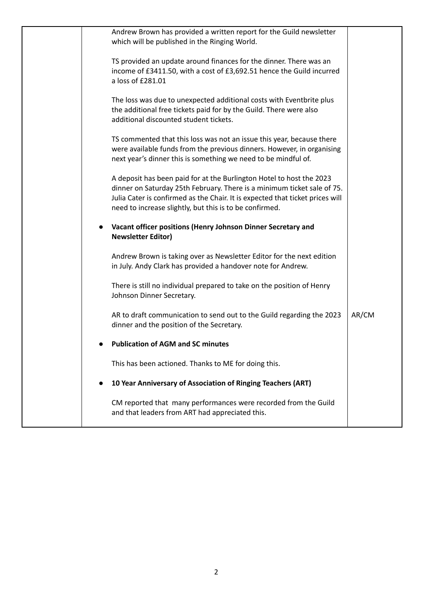| Andrew Brown has provided a written report for the Guild newsletter<br>which will be published in the Ringing World.                                                                                                                                                                        |       |
|---------------------------------------------------------------------------------------------------------------------------------------------------------------------------------------------------------------------------------------------------------------------------------------------|-------|
| TS provided an update around finances for the dinner. There was an<br>income of £3411.50, with a cost of £3,692.51 hence the Guild incurred<br>a loss of £281.01                                                                                                                            |       |
| The loss was due to unexpected additional costs with Eventbrite plus<br>the additional free tickets paid for by the Guild. There were also<br>additional discounted student tickets.                                                                                                        |       |
| TS commented that this loss was not an issue this year, because there<br>were available funds from the previous dinners. However, in organising<br>next year's dinner this is something we need to be mindful of.                                                                           |       |
| A deposit has been paid for at the Burlington Hotel to host the 2023<br>dinner on Saturday 25th February. There is a minimum ticket sale of 75.<br>Julia Cater is confirmed as the Chair. It is expected that ticket prices will<br>need to increase slightly, but this is to be confirmed. |       |
| Vacant officer positions (Henry Johnson Dinner Secretary and<br>$\bullet$<br><b>Newsletter Editor)</b>                                                                                                                                                                                      |       |
| Andrew Brown is taking over as Newsletter Editor for the next edition<br>in July. Andy Clark has provided a handover note for Andrew.                                                                                                                                                       |       |
| There is still no individual prepared to take on the position of Henry<br>Johnson Dinner Secretary.                                                                                                                                                                                         |       |
| AR to draft communication to send out to the Guild regarding the 2023<br>dinner and the position of the Secretary.                                                                                                                                                                          | AR/CM |
| <b>Publication of AGM and SC minutes</b>                                                                                                                                                                                                                                                    |       |
| This has been actioned. Thanks to ME for doing this.                                                                                                                                                                                                                                        |       |
| 10 Year Anniversary of Association of Ringing Teachers (ART)                                                                                                                                                                                                                                |       |
| CM reported that many performances were recorded from the Guild<br>and that leaders from ART had appreciated this.                                                                                                                                                                          |       |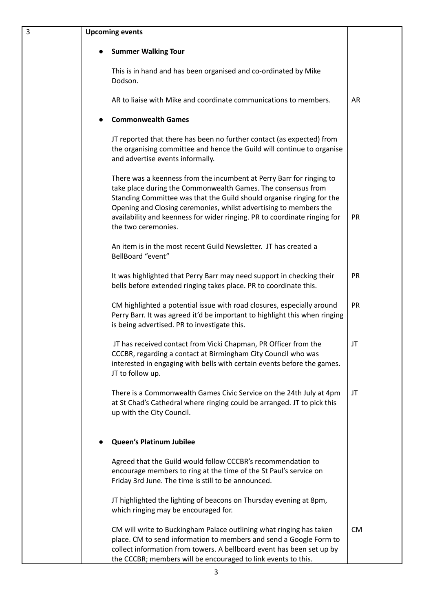| 3 | <b>Upcoming events</b>                                                                                                                                                                                                                                                                                                                                                                 |           |
|---|----------------------------------------------------------------------------------------------------------------------------------------------------------------------------------------------------------------------------------------------------------------------------------------------------------------------------------------------------------------------------------------|-----------|
|   | <b>Summer Walking Tour</b>                                                                                                                                                                                                                                                                                                                                                             |           |
|   | This is in hand and has been organised and co-ordinated by Mike<br>Dodson.                                                                                                                                                                                                                                                                                                             |           |
|   | AR to liaise with Mike and coordinate communications to members.                                                                                                                                                                                                                                                                                                                       | AR        |
|   | <b>Commonwealth Games</b>                                                                                                                                                                                                                                                                                                                                                              |           |
|   | JT reported that there has been no further contact (as expected) from<br>the organising committee and hence the Guild will continue to organise<br>and advertise events informally.                                                                                                                                                                                                    |           |
|   | There was a keenness from the incumbent at Perry Barr for ringing to<br>take place during the Commonwealth Games. The consensus from<br>Standing Committee was that the Guild should organise ringing for the<br>Opening and Closing ceremonies, whilst advertising to members the<br>availability and keenness for wider ringing. PR to coordinate ringing for<br>the two ceremonies. | PR        |
|   | An item is in the most recent Guild Newsletter. JT has created a<br>BellBoard "event"                                                                                                                                                                                                                                                                                                  |           |
|   | It was highlighted that Perry Barr may need support in checking their<br>bells before extended ringing takes place. PR to coordinate this.                                                                                                                                                                                                                                             | <b>PR</b> |
|   | CM highlighted a potential issue with road closures, especially around<br>Perry Barr. It was agreed it'd be important to highlight this when ringing<br>is being advertised. PR to investigate this.                                                                                                                                                                                   | PR        |
|   | JT has received contact from Vicki Chapman, PR Officer from the<br>CCCBR, regarding a contact at Birmingham City Council who was<br>interested in engaging with bells with certain events before the games.<br>JT to follow up.                                                                                                                                                        | JT        |
|   | There is a Commonwealth Games Civic Service on the 24th July at 4pm<br>at St Chad's Cathedral where ringing could be arranged. JT to pick this<br>up with the City Council.                                                                                                                                                                                                            | JT        |
|   | <b>Queen's Platinum Jubilee</b>                                                                                                                                                                                                                                                                                                                                                        |           |
|   | Agreed that the Guild would follow CCCBR's recommendation to<br>encourage members to ring at the time of the St Paul's service on<br>Friday 3rd June. The time is still to be announced.                                                                                                                                                                                               |           |
|   | JT highlighted the lighting of beacons on Thursday evening at 8pm,<br>which ringing may be encouraged for.                                                                                                                                                                                                                                                                             |           |
|   | CM will write to Buckingham Palace outlining what ringing has taken<br>place. CM to send information to members and send a Google Form to<br>collect information from towers. A bellboard event has been set up by<br>the CCCBR; members will be encouraged to link events to this.                                                                                                    | <b>CM</b> |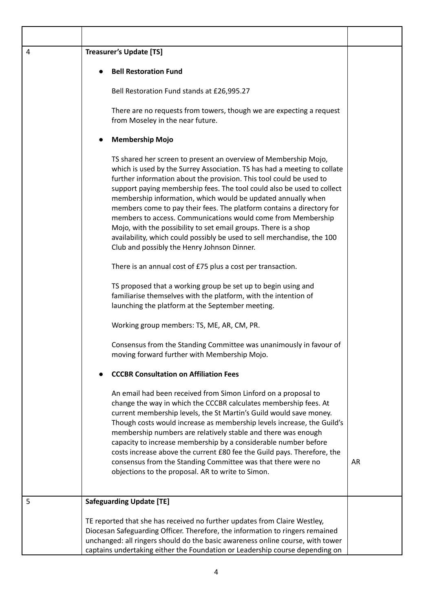| $\overline{4}$ | <b>Treasurer's Update [TS]</b>                                                                                                                                                                                                                                                                                                                                                                                                                                                                                                                                                                                                                                                                                                                                                                                                                                                                                                                                                                                                                                                                                                |    |
|----------------|-------------------------------------------------------------------------------------------------------------------------------------------------------------------------------------------------------------------------------------------------------------------------------------------------------------------------------------------------------------------------------------------------------------------------------------------------------------------------------------------------------------------------------------------------------------------------------------------------------------------------------------------------------------------------------------------------------------------------------------------------------------------------------------------------------------------------------------------------------------------------------------------------------------------------------------------------------------------------------------------------------------------------------------------------------------------------------------------------------------------------------|----|
|                | <b>Bell Restoration Fund</b>                                                                                                                                                                                                                                                                                                                                                                                                                                                                                                                                                                                                                                                                                                                                                                                                                                                                                                                                                                                                                                                                                                  |    |
|                | Bell Restoration Fund stands at £26,995.27                                                                                                                                                                                                                                                                                                                                                                                                                                                                                                                                                                                                                                                                                                                                                                                                                                                                                                                                                                                                                                                                                    |    |
|                | There are no requests from towers, though we are expecting a request<br>from Moseley in the near future.                                                                                                                                                                                                                                                                                                                                                                                                                                                                                                                                                                                                                                                                                                                                                                                                                                                                                                                                                                                                                      |    |
|                | <b>Membership Mojo</b>                                                                                                                                                                                                                                                                                                                                                                                                                                                                                                                                                                                                                                                                                                                                                                                                                                                                                                                                                                                                                                                                                                        |    |
|                | TS shared her screen to present an overview of Membership Mojo,<br>which is used by the Surrey Association. TS has had a meeting to collate<br>further information about the provision. This tool could be used to<br>support paying membership fees. The tool could also be used to collect<br>membership information, which would be updated annually when<br>members come to pay their fees. The platform contains a directory for<br>members to access. Communications would come from Membership<br>Mojo, with the possibility to set email groups. There is a shop<br>availability, which could possibly be used to sell merchandise, the 100<br>Club and possibly the Henry Johnson Dinner.<br>There is an annual cost of £75 plus a cost per transaction.<br>TS proposed that a working group be set up to begin using and<br>familiarise themselves with the platform, with the intention of<br>launching the platform at the September meeting.<br>Working group members: TS, ME, AR, CM, PR.<br>Consensus from the Standing Committee was unanimously in favour of<br>moving forward further with Membership Mojo. |    |
|                | <b>CCCBR Consultation on Affiliation Fees</b>                                                                                                                                                                                                                                                                                                                                                                                                                                                                                                                                                                                                                                                                                                                                                                                                                                                                                                                                                                                                                                                                                 |    |
|                | An email had been received from Simon Linford on a proposal to<br>change the way in which the CCCBR calculates membership fees. At<br>current membership levels, the St Martin's Guild would save money.<br>Though costs would increase as membership levels increase, the Guild's<br>membership numbers are relatively stable and there was enough<br>capacity to increase membership by a considerable number before<br>costs increase above the current £80 fee the Guild pays. Therefore, the<br>consensus from the Standing Committee was that there were no                                                                                                                                                                                                                                                                                                                                                                                                                                                                                                                                                             | AR |
|                | objections to the proposal. AR to write to Simon.                                                                                                                                                                                                                                                                                                                                                                                                                                                                                                                                                                                                                                                                                                                                                                                                                                                                                                                                                                                                                                                                             |    |
| 5              | <b>Safeguarding Update [TE]</b>                                                                                                                                                                                                                                                                                                                                                                                                                                                                                                                                                                                                                                                                                                                                                                                                                                                                                                                                                                                                                                                                                               |    |
|                | TE reported that she has received no further updates from Claire Westley,<br>Diocesan Safeguarding Officer. Therefore, the information to ringers remained<br>unchanged: all ringers should do the basic awareness online course, with tower<br>captains undertaking either the Foundation or Leadership course depending on                                                                                                                                                                                                                                                                                                                                                                                                                                                                                                                                                                                                                                                                                                                                                                                                  |    |